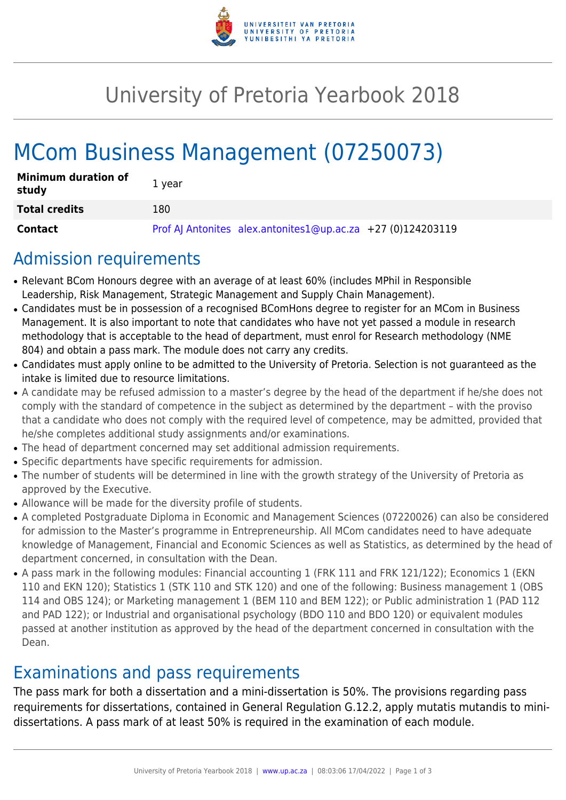

# University of Pretoria Yearbook 2018

# MCom Business Management (07250073)

| <b>Minimum duration of</b><br>study | 1 vear                                                        |
|-------------------------------------|---------------------------------------------------------------|
| <b>Total credits</b>                | 180                                                           |
| Contact                             | Prof AJ Antonites alex.antonites1@up.ac.za $+27$ (0)124203119 |

## Admission requirements

- Relevant BCom Honours degree with an average of at least 60% (includes MPhil in Responsible Leadership, Risk Management, Strategic Management and Supply Chain Management).
- Candidates must be in possession of a recognised BComHons degree to register for an MCom in Business Management. It is also important to note that candidates who have not yet passed a module in research methodology that is acceptable to the head of department, must enrol for Research methodology (NME 804) and obtain a pass mark. The module does not carry any credits.
- Candidates must apply online to be admitted to the University of Pretoria. Selection is not guaranteed as the intake is limited due to resource limitations.
- A candidate may be refused admission to a master's degree by the head of the department if he/she does not comply with the standard of competence in the subject as determined by the department – with the proviso that a candidate who does not comply with the required level of competence, may be admitted, provided that he/she completes additional study assignments and/or examinations.
- The head of department concerned may set additional admission requirements.
- Specific departments have specific requirements for admission.
- The number of students will be determined in line with the growth strategy of the University of Pretoria as approved by the Executive.
- Allowance will be made for the diversity profile of students.
- A completed Postgraduate Diploma in Economic and Management Sciences (07220026) can also be considered for admission to the Master's programme in Entrepreneurship. All MCom candidates need to have adequate knowledge of Management, Financial and Economic Sciences as well as Statistics, as determined by the head of department concerned, in consultation with the Dean.
- A pass mark in the following modules: Financial accounting 1 (FRK 111 and FRK 121/122); Economics 1 (EKN 110 and EKN 120); Statistics 1 (STK 110 and STK 120) and one of the following: Business management 1 (OBS 114 and OBS 124); or Marketing management 1 (BEM 110 and BEM 122); or Public administration 1 (PAD 112 and PAD 122); or Industrial and organisational psychology (BDO 110 and BDO 120) or equivalent modules passed at another institution as approved by the head of the department concerned in consultation with the Dean.

## Examinations and pass requirements

The pass mark for both a dissertation and a mini-dissertation is 50%. The provisions regarding pass requirements for dissertations, contained in General Regulation G.12.2, apply mutatis mutandis to minidissertations. A pass mark of at least 50% is required in the examination of each module.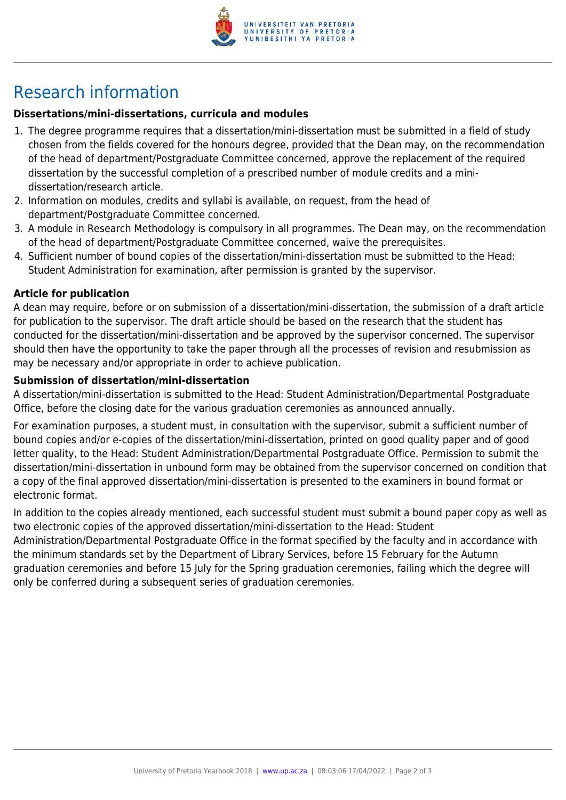

## Research information

### **Dissertations/mini-dissertations, curricula and modules**

- 1. The degree programme requires that a dissertation/mini-dissertation must be submitted in a field of study chosen from the fields covered for the honours degree, provided that the Dean may, on the recommendation of the head of department/Postgraduate Committee concerned, approve the replacement of the required dissertation by the successful completion of a prescribed number of module credits and a minidissertation/research article.
- 2. Information on modules, credits and syllabi is available, on request, from the head of department/Postgraduate Committee concerned.
- 3. A module in Research Methodology is compulsory in all programmes. The Dean may, on the recommendation of the head of department/Postgraduate Committee concerned, waive the prerequisites.
- 4. Sufficient number of bound copies of the dissertation/mini-dissertation must be submitted to the Head: Student Administration for examination, after permission is granted by the supervisor.

#### **Article for publication**

A dean may require, before or on submission of a dissertation/mini-dissertation, the submission of a draft article for publication to the supervisor. The draft article should be based on the research that the student has conducted for the dissertation/mini-dissertation and be approved by the supervisor concerned. The supervisor should then have the opportunity to take the paper through all the processes of revision and resubmission as may be necessary and/or appropriate in order to achieve publication.

#### **Submission of dissertation/mini-dissertation**

A dissertation/mini-dissertation is submitted to the Head: Student Administration/Departmental Postgraduate Office, before the closing date for the various graduation ceremonies as announced annually.

For examination purposes, a student must, in consultation with the supervisor, submit a sufficient number of bound copies and/or e-copies of the dissertation/mini-dissertation, printed on good quality paper and of good letter quality, to the Head: Student Administration/Departmental Postgraduate Office. Permission to submit the dissertation/mini-dissertation in unbound form may be obtained from the supervisor concerned on condition that a copy of the final approved dissertation/mini-dissertation is presented to the examiners in bound format or electronic format.

In addition to the copies already mentioned, each successful student must submit a bound paper copy as well as two electronic copies of the approved dissertation/mini-dissertation to the Head: Student

Administration/Departmental Postgraduate Office in the format specified by the faculty and in accordance with the minimum standards set by the Department of Library Services, before 15 February for the Autumn graduation ceremonies and before 15 July for the Spring graduation ceremonies, failing which the degree will only be conferred during a subsequent series of graduation ceremonies.